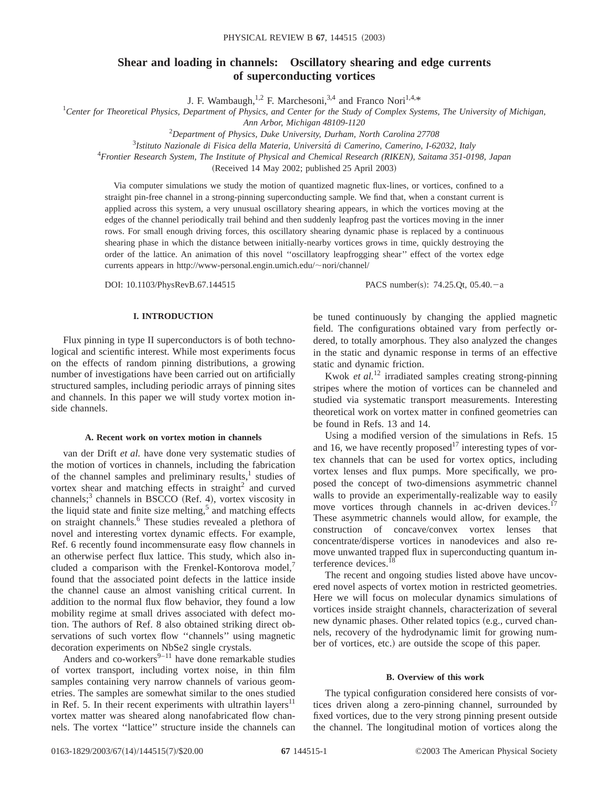# **Shear and loading in channels: Oscillatory shearing and edge currents of superconducting vortices**

J. F. Wambaugh,<sup>1,2</sup> F. Marchesoni,<sup>3,4</sup> and Franco Nori<sup>1,4,\*</sup>

*Center for Theoretical Physics, Department of Physics, and Center for the Study of Complex Systems, The University of Michigan,*

*Ann Arbor, Michigan 48109-1120*

2 *Department of Physics, Duke University, Durham, North Carolina 27708*

3 *Istituto Nazionale di Fisica della Materia, Universita´ di Camerino, Camerino, I-62032, Italy*

4 *Frontier Research System, The Institute of Physical and Chemical Research (RIKEN), Saitama 351-0198, Japan*

(Received 14 May 2002; published 25 April 2003)

Via computer simulations we study the motion of quantized magnetic flux-lines, or vortices, confined to a straight pin-free channel in a strong-pinning superconducting sample. We find that, when a constant current is applied across this system, a very unusual oscillatory shearing appears, in which the vortices moving at the edges of the channel periodically trail behind and then suddenly leapfrog past the vortices moving in the inner rows. For small enough driving forces, this oscillatory shearing dynamic phase is replaced by a continuous shearing phase in which the distance between initially-nearby vortices grows in time, quickly destroying the order of the lattice. An animation of this novel ''oscillatory leapfrogging shear'' effect of the vortex edge currents appears in http://www-personal.engin.umich.edu/ $\sim$ nori/channel/

DOI: 10.1103/PhysRevB.67.144515 PACS number(s): 74.25.Qt, 05.40.-a

### **I. INTRODUCTION**

Flux pinning in type II superconductors is of both technological and scientific interest. While most experiments focus on the effects of random pinning distributions, a growing number of investigations have been carried out on artificially structured samples, including periodic arrays of pinning sites and channels. In this paper we will study vortex motion inside channels.

#### **A. Recent work on vortex motion in channels**

van der Drift *et al.* have done very systematic studies of the motion of vortices in channels, including the fabrication of the channel samples and preliminary results, $<sup>1</sup>$  studies of</sup> vortex shear and matching effects in straight<sup>2</sup> and curved channels;<sup>3</sup> channels in BSCCO (Ref. 4), vortex viscosity in the liquid state and finite size melting, $5$  and matching effects on straight channels.<sup>6</sup> These studies revealed a plethora of novel and interesting vortex dynamic effects. For example, Ref. 6 recently found incommensurate easy flow channels in an otherwise perfect flux lattice. This study, which also included a comparison with the Frenkel-Kontorova model, $\theta$ found that the associated point defects in the lattice inside the channel cause an almost vanishing critical current. In addition to the normal flux flow behavior, they found a low mobility regime at small drives associated with defect motion. The authors of Ref. 8 also obtained striking direct observations of such vortex flow ''channels'' using magnetic decoration experiments on NbSe2 single crystals.

Anders and co-workers $9-11$  have done remarkable studies of vortex transport, including vortex noise, in thin film samples containing very narrow channels of various geometries. The samples are somewhat similar to the ones studied in Ref. 5. In their recent experiments with ultrathin layers<sup>11</sup> vortex matter was sheared along nanofabricated flow channels. The vortex ''lattice'' structure inside the channels can

be tuned continuously by changing the applied magnetic field. The configurations obtained vary from perfectly ordered, to totally amorphous. They also analyzed the changes in the static and dynamic response in terms of an effective static and dynamic friction.

Kwok *et al.*<sup>12</sup> irradiated samples creating strong-pinning stripes where the motion of vortices can be channeled and studied via systematic transport measurements. Interesting theoretical work on vortex matter in confined geometries can be found in Refs. 13 and 14.

Using a modified version of the simulations in Refs. 15 and 16, we have recently proposed<sup>17</sup> interesting types of vortex channels that can be used for vortex optics, including vortex lenses and flux pumps. More specifically, we proposed the concept of two-dimensions asymmetric channel walls to provide an experimentally-realizable way to easily move vortices through channels in ac-driven devices.<sup>17</sup> These asymmetric channels would allow, for example, the construction of concave/convex vortex lenses that concentrate/disperse vortices in nanodevices and also remove unwanted trapped flux in superconducting quantum interference devices.<sup>1</sup>

The recent and ongoing studies listed above have uncovered novel aspects of vortex motion in restricted geometries. Here we will focus on molecular dynamics simulations of vortices inside straight channels, characterization of several new dynamic phases. Other related topics (e.g., curved channels, recovery of the hydrodynamic limit for growing number of vortices, etc.) are outside the scope of this paper.

#### **B. Overview of this work**

The typical configuration considered here consists of vortices driven along a zero-pinning channel, surrounded by fixed vortices, due to the very strong pinning present outside the channel. The longitudinal motion of vortices along the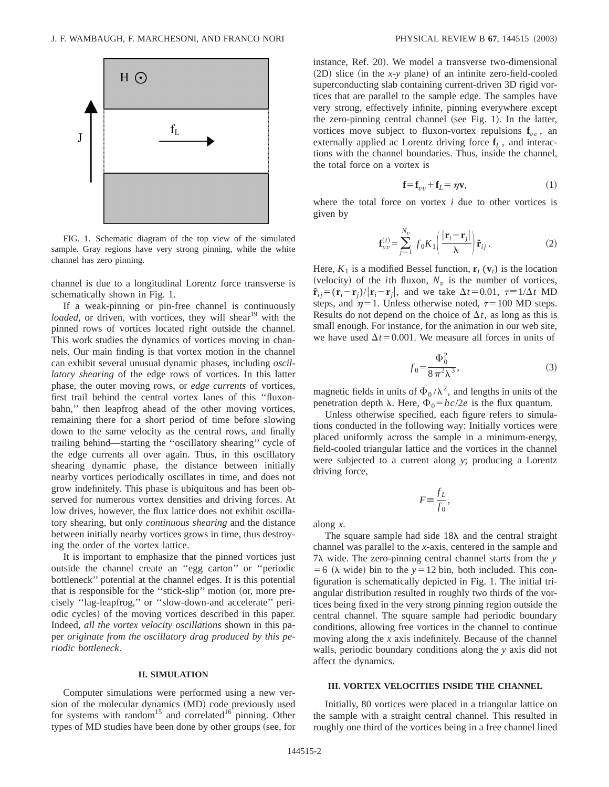

FIG. 1. Schematic diagram of the top view of the simulated sample. Gray regions have very strong pinning, while the white channel has zero pinning.

channel is due to a longitudinal Lorentz force transverse is schematically shown in Fig. 1.

If a weak-pinning or pin-free channel is continuously *loaded*, or driven, with vortices, they will shear<sup>19</sup> with the pinned rows of vortices located right outside the channel. This work studies the dynamics of vortices moving in channels. Our main finding is that vortex motion in the channel can exhibit several unusual dynamic phases, including *oscillatory shearing* of the edge rows of vortices. In this latter phase, the outer moving rows, or *edge currents* of vortices, first trail behind the central vortex lanes of this ''fluxonbahn,'' then leapfrog ahead of the other moving vortices, remaining there for a short period of time before slowing down to the same velocity as the central rows, and finally trailing behind—starting the ''oscillatory shearing'' cycle of the edge currents all over again. Thus, in this oscillatory shearing dynamic phase, the distance between initially nearby vortices periodically oscillates in time, and does not grow indefinitely. This phase is ubiquitous and has been observed for numerous vortex densities and driving forces. At low drives, however, the flux lattice does not exhibit oscillatory shearing, but only *continuous shearing* and the distance between initially nearby vortices grows in time, thus destroying the order of the vortex lattice.

It is important to emphasize that the pinned vortices just outside the channel create an ''egg carton'' or ''periodic bottleneck'' potential at the channel edges. It is this potential that is responsible for the "stick-slip" motion (or, more precisely ''lag-leapfrog,'' or ''slow-down-and accelerate'' periodic cycles) of the moving vortices described in this paper. Indeed, *all the vortex velocity oscillations* shown in this paper *originate from the oscillatory drag produced by this periodic bottleneck*.

#### **II. SIMULATION**

Computer simulations were performed using a new version of the molecular dynamics (MD) code previously used for systems with random<sup>15</sup> and correlated<sup>16</sup> pinning. Other types of MD studies have been done by other groups (see, for instance, Ref. 20). We model a transverse two-dimensional  $(2D)$  slice (in the *x*-*y* plane) of an infinite zero-field-cooled superconducting slab containing current-driven 3D rigid vortices that are parallel to the sample edge. The samples have very strong, effectively infinite, pinning everywhere except the zero-pinning central channel (see Fig. 1). In the latter, vortices move subject to fluxon-vortex repulsions  $f_{vv}$ , an externally applied ac Lorentz driving force **f***<sup>L</sup>* , and interactions with the channel boundaries. Thus, inside the channel, the total force on a vortex is

$$
\mathbf{f} = \mathbf{f}_{vv} + \mathbf{f}_L = \eta \mathbf{v},\tag{1}
$$

where the total force on vortex *i* due to other vortices is given by

$$
\mathbf{f}_{vv}^{(i)} = \sum_{j=1}^{N_v} f_0 K_1 \left( \frac{|\mathbf{r}_i - \mathbf{r}_j|}{\lambda} \right) \mathbf{\hat{r}}_{ij} . \tag{2}
$$

Here,  $K_1$  is a modified Bessel function,  $\mathbf{r}_i(\mathbf{v}_i)$  is the location (velocity) of the *i*th fluxon,  $N_v$  is the number of vortices,  $\hat{\mathbf{r}}_{ij} = (\mathbf{r}_i - \mathbf{r}_j)/|\mathbf{r}_i - \mathbf{r}_j|$ , and we take  $\Delta t = 0.01$ ,  $\tau = 1/\Delta t$  MD steps, and  $\eta=1$ . Unless otherwise noted,  $\tau=100$  MD steps. Results do not depend on the choice of  $\Delta t$ , as long as this is small enough. For instance, for the animation in our web site, we have used  $\Delta t$ =0.001. We measure all forces in units of

$$
f_0 = \frac{\Phi_0^2}{8\,\pi^2\lambda^3},\tag{3}
$$

magnetic fields in units of  $\Phi_0/\lambda^2$ , and lengths in units of the penetration depth  $\lambda$ . Here,  $\Phi_0 = hc/2e$  is the flux quantum.

Unless otherwise specified, each figure refers to simulations conducted in the following way: Initially vortices were placed uniformly across the sample in a minimum-energy, field-cooled triangular lattice and the vortices in the channel were subjected to a current along *y*; producing a Lorentz driving force,

$$
F \equiv \frac{f_L}{f_0},
$$

along *x*.

The square sample had side  $18\lambda$  and the central straight channel was parallel to the *x*-axis, centered in the sample and 7l wide. The zero-pinning central channel starts from the *y*  $=6$  ( $\lambda$  wide) bin to the  $y=12$  bin, both included. This configuration is schematically depicted in Fig. 1. The initial triangular distribution resulted in roughly two thirds of the vortices being fixed in the very strong pinning region outside the central channel. The square sample had periodic boundary conditions, allowing free vortices in the channel to continue moving along the *x* axis indefinitely. Because of the channel walls, periodic boundary conditions along the *y* axis did not affect the dynamics.

# **III. VORTEX VELOCITIES INSIDE THE CHANNEL**

Initially, 80 vortices were placed in a triangular lattice on the sample with a straight central channel. This resulted in roughly one third of the vortices being in a free channel lined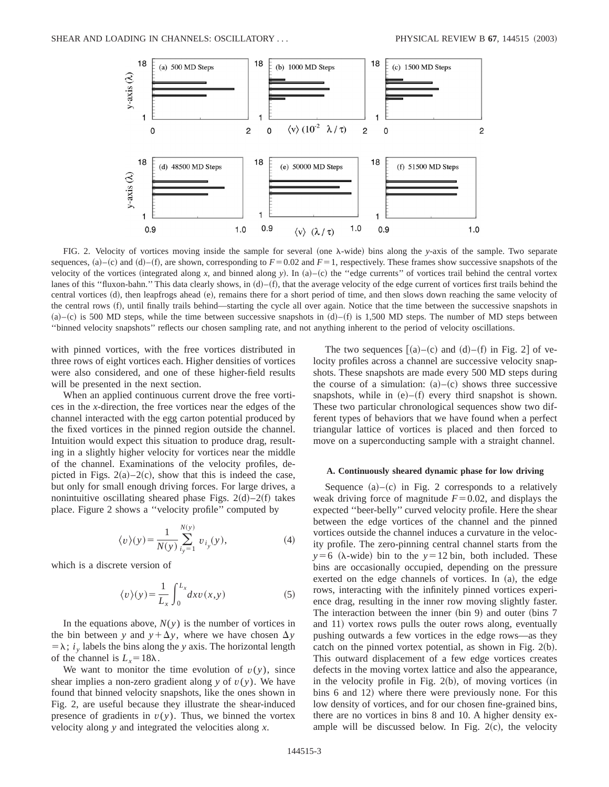

FIG. 2. Velocity of vortices moving inside the sample for several (one  $\lambda$ -wide) bins along the *y*-axis of the sample. Two separate sequences,  $(a)$ – $(c)$  and  $(d)$ – $(f)$ , are shown, corresponding to  $F = 0.02$  and  $F = 1$ , respectively. These frames show successive snapshots of the velocity of the vortices (integrated along x, and binned along y). In (a)–(c) the "edge currents" of vortices trail behind the central vortex lanes of this "fluxon-bahn." This data clearly shows, in  $(d)$ –(f), that the average velocity of the edge current of vortices first trails behind the central vortices (d), then leapfrogs ahead (e), remains there for a short period of time, and then slows down reaching the same velocity of the central rows (f), until finally trails behind—starting the cycle all over again. Notice that the time between the successive snapshots in  $(a)$ – $(c)$  is 500 MD steps, while the time between successive snapshots in  $(d)$ – $(f)$  is 1,500 MD steps. The number of MD steps between ''binned velocity snapshots'' reflects our chosen sampling rate, and not anything inherent to the period of velocity oscillations.

with pinned vortices, with the free vortices distributed in three rows of eight vortices each. Higher densities of vortices were also considered, and one of these higher-field results will be presented in the next section.

When an applied continuous current drove the free vortices in the *x*-direction, the free vortices near the edges of the channel interacted with the egg carton potential produced by the fixed vortices in the pinned region outside the channel. Intuition would expect this situation to produce drag, resulting in a slightly higher velocity for vortices near the middle of the channel. Examinations of the velocity profiles, depicted in Figs.  $2(a) - 2(c)$ , show that this is indeed the case, but only for small enough driving forces. For large drives, a nonintuitive oscillating sheared phase Figs.  $2(d) - 2(f)$  takes place. Figure 2 shows a ''velocity profile'' computed by

$$
\langle v \rangle(y) = \frac{1}{N(y)} \sum_{i_y=1}^{N(y)} v_{i_y}(y), \tag{4}
$$

which is a discrete version of

$$
\langle v \rangle(y) = \frac{1}{L_x} \int_0^{L_x} dx v(x, y) \tag{5}
$$

In the equations above,  $N(y)$  is the number of vortices in the bin between *y* and  $y + \Delta y$ , where we have chosen  $\Delta y$  $= \lambda$ ; *i*<sub>y</sub> labels the bins along the *y* axis. The horizontal length of the channel is  $L<sub>x</sub>=18\lambda$ .

We want to monitor the time evolution of  $v(y)$ , since shear implies a non-zero gradient along  $y$  of  $v(y)$ . We have found that binned velocity snapshots, like the ones shown in Fig. 2, are useful because they illustrate the shear-induced presence of gradients in  $v(y)$ . Thus, we binned the vortex velocity along *y* and integrated the velocities along *x*.

The two sequences  $[(a)-(c)$  and  $(d)-(f)$  in Fig. 2 of velocity profiles across a channel are successive velocity snapshots. These snapshots are made every 500 MD steps during the course of a simulation:  $(a)$ – $(c)$  shows three successive snapshots, while in  $(e)$ – $(f)$  every third snapshot is shown. These two particular chronological sequences show two different types of behaviors that we have found when a perfect triangular lattice of vortices is placed and then forced to move on a superconducting sample with a straight channel.

#### **A. Continuously sheared dynamic phase for low driving**

Sequence  $(a)$ – $(c)$  in Fig. 2 corresponds to a relatively weak driving force of magnitude  $F=0.02$ , and displays the expected ''beer-belly'' curved velocity profile. Here the shear between the edge vortices of the channel and the pinned vortices outside the channel induces a curvature in the velocity profile. The zero-pinning central channel starts from the  $y=6$  ( $\lambda$ -wide) bin to the  $y=12$  bin, both included. These bins are occasionally occupied, depending on the pressure exerted on the edge channels of vortices. In  $(a)$ , the edge rows, interacting with the infinitely pinned vortices experience drag, resulting in the inner row moving slightly faster. The interaction between the inner  $(bin 9)$  and outer  $(bins 7)$ and 11) vortex rows pulls the outer rows along, eventually pushing outwards a few vortices in the edge rows—as they catch on the pinned vortex potential, as shown in Fig.  $2(b)$ . This outward displacement of a few edge vortices creates defects in the moving vortex lattice and also the appearance, in the velocity profile in Fig.  $2(b)$ , of moving vortices (in bins 6 and 12) where there were previously none. For this low density of vortices, and for our chosen fine-grained bins, there are no vortices in bins 8 and 10. A higher density example will be discussed below. In Fig.  $2(c)$ , the velocity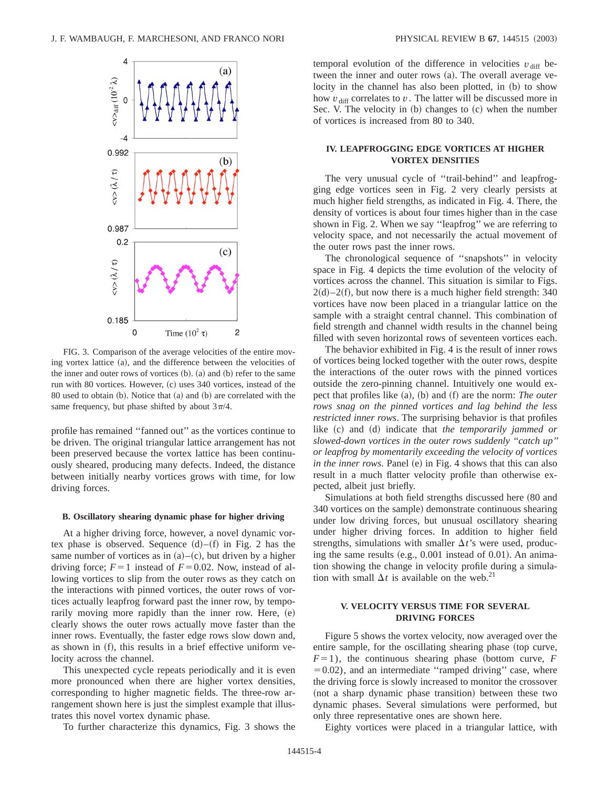

FIG. 3. Comparison of the average velocities of the entire moving vortex lattice (a), and the difference between the velocities of the inner and outer rows of vortices  $(b)$ .  $(a)$  and  $(b)$  refer to the same run with 80 vortices. However, (c) uses 340 vortices, instead of the  $80$  used to obtain  $(b)$ . Notice that  $(a)$  and  $(b)$  are correlated with the same frequency, but phase shifted by about  $3\pi/4$ .

profile has remained ''fanned out'' as the vortices continue to be driven. The original triangular lattice arrangement has not been preserved because the vortex lattice has been continuously sheared, producing many defects. Indeed, the distance between initially nearby vortices grows with time, for low driving forces.

#### **B. Oscillatory shearing dynamic phase for higher driving**

At a higher driving force, however, a novel dynamic vortex phase is observed. Sequence  $(d)$ – $(f)$  in Fig. 2 has the same number of vortices as in  $(a)$ – $(c)$ , but driven by a higher driving force;  $F=1$  instead of  $F=0.02$ . Now, instead of allowing vortices to slip from the outer rows as they catch on the interactions with pinned vortices, the outer rows of vortices actually leapfrog forward past the inner row, by temporarily moving more rapidly than the inner row. Here,  $(e)$ clearly shows the outer rows actually move faster than the inner rows. Eventually, the faster edge rows slow down and, as shown in  $(f)$ , this results in a brief effective uniform velocity across the channel.

This unexpected cycle repeats periodically and it is even more pronounced when there are higher vortex densities, corresponding to higher magnetic fields. The three-row arrangement shown here is just the simplest example that illustrates this novel vortex dynamic phase.

To further characterize this dynamics, Fig. 3 shows the

temporal evolution of the difference in velocities  $v_{\text{diff}}$  between the inner and outer rows  $(a)$ . The overall average velocity in the channel has also been plotted, in (b) to show how  $v_{\text{diff}}$  correlates to  $v$ . The latter will be discussed more in Sec. V. The velocity in  $(b)$  changes to  $(c)$  when the number of vortices is increased from 80 to 340.

# **IV. LEAPFROGGING EDGE VORTICES AT HIGHER VORTEX DENSITIES**

The very unusual cycle of ''trail-behind'' and leapfrogging edge vortices seen in Fig. 2 very clearly persists at much higher field strengths, as indicated in Fig. 4. There, the density of vortices is about four times higher than in the case shown in Fig. 2. When we say ''leapfrog'' we are referring to velocity space, and not necessarily the actual movement of the outer rows past the inner rows.

The chronological sequence of ''snapshots'' in velocity space in Fig. 4 depicts the time evolution of the velocity of vortices across the channel. This situation is similar to Figs.  $2(d) - 2(f)$ , but now there is a much higher field strength: 340 vortices have now been placed in a triangular lattice on the sample with a straight central channel. This combination of field strength and channel width results in the channel being filled with seven horizontal rows of seventeen vortices each.

The behavior exhibited in Fig. 4 is the result of inner rows of vortices being locked together with the outer rows, despite the interactions of the outer rows with the pinned vortices outside the zero-pinning channel. Intuitively one would expect that profiles like (a), (b) and (f) are the norm: *The outer rows snag on the pinned vortices and lag behind the less restricted inner rows*. The surprising behavior is that profiles like  $(c)$  and  $(d)$  indicate that *the temporarily jammed or slowed-down vortices in the outer rows suddenly ''catch up'' or leapfrog by momentarily exceeding the velocity of vortices in the inner rows*. Panel (e) in Fig. 4 shows that this can also result in a much flatter velocity profile than otherwise expected, albeit just briefly.

Simulations at both field strengths discussed here (80 and 340 vortices on the sample) demonstrate continuous shearing under low driving forces, but unusual oscillatory shearing under higher driving forces. In addition to higher field strengths, simulations with smaller  $\Delta t$ 's were used, producing the same results  $(e.g., 0.001$  instead of 0.01). An animation showing the change in velocity profile during a simulation with small  $\Delta t$  is available on the web.<sup>21</sup>

# **V. VELOCITY VERSUS TIME FOR SEVERAL DRIVING FORCES**

Figure 5 shows the vortex velocity, now averaged over the entire sample, for the oscillating shearing phase (top curve,  $F=1$ ), the continuous shearing phase (bottom curve, *F*  $=0.02$ ), and an intermediate "ramped driving" case, where the driving force is slowly increased to monitor the crossover (not a sharp dynamic phase transition) between these two dynamic phases. Several simulations were performed, but only three representative ones are shown here.

Eighty vortices were placed in a triangular lattice, with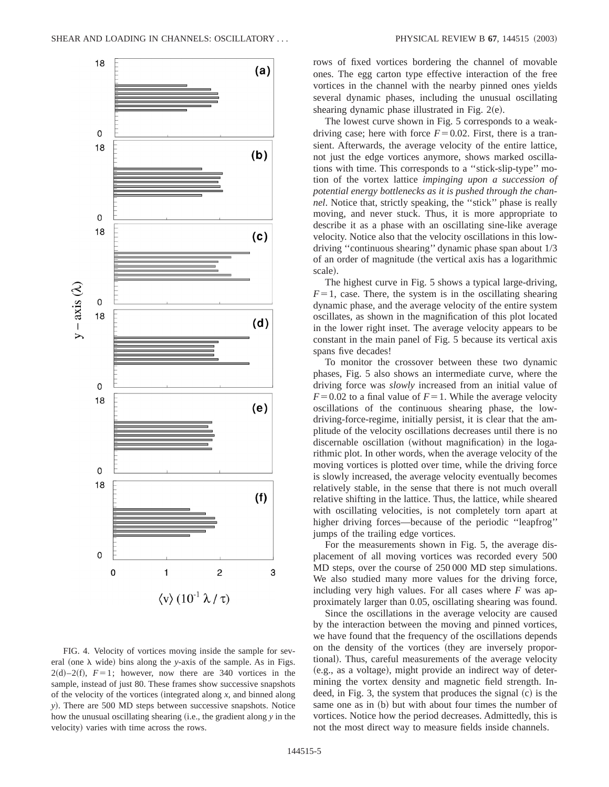

FIG. 4. Velocity of vortices moving inside the sample for several (one  $\lambda$  wide) bins along the *y*-axis of the sample. As in Figs.  $2(d)-2(f)$ ,  $F=1$ ; however, now there are 340 vortices in the sample, instead of just 80. These frames show successive snapshots of the velocity of the vortices (integrated along  $x$ , and binned along *y*!. There are 500 MD steps between successive snapshots. Notice how the unusual oscillating shearing (i.e., the gradient along *y* in the velocity) varies with time across the rows.

rows of fixed vortices bordering the channel of movable ones. The egg carton type effective interaction of the free vortices in the channel with the nearby pinned ones yields several dynamic phases, including the unusual oscillating shearing dynamic phase illustrated in Fig.  $2(e)$ .

The lowest curve shown in Fig. 5 corresponds to a weakdriving case; here with force  $F=0.02$ . First, there is a transient. Afterwards, the average velocity of the entire lattice, not just the edge vortices anymore, shows marked oscillations with time. This corresponds to a ''stick-slip-type'' motion of the vortex lattice *impinging upon a succession of potential energy bottlenecks as it is pushed through the channel*. Notice that, strictly speaking, the ''stick'' phase is really moving, and never stuck. Thus, it is more appropriate to describe it as a phase with an oscillating sine-like average velocity. Notice also that the velocity oscillations in this lowdriving ''continuous shearing'' dynamic phase span about 1/3 of an order of magnitude (the vertical axis has a logarithmic scale).

The highest curve in Fig. 5 shows a typical large-driving,  $F=1$ , case. There, the system is in the oscillating shearing dynamic phase, and the average velocity of the entire system oscillates, as shown in the magnification of this plot located in the lower right inset. The average velocity appears to be constant in the main panel of Fig. 5 because its vertical axis spans five decades!

To monitor the crossover between these two dynamic phases, Fig. 5 also shows an intermediate curve, where the driving force was *slowly* increased from an initial value of  $F=0.02$  to a final value of  $F=1$ . While the average velocity oscillations of the continuous shearing phase, the lowdriving-force-regime, initially persist, it is clear that the amplitude of the velocity oscillations decreases until there is no discernable oscillation (without magnification) in the logarithmic plot. In other words, when the average velocity of the moving vortices is plotted over time, while the driving force is slowly increased, the average velocity eventually becomes relatively stable, in the sense that there is not much overall relative shifting in the lattice. Thus, the lattice, while sheared with oscillating velocities, is not completely torn apart at higher driving forces—because of the periodic "leapfrog" jumps of the trailing edge vortices.

For the measurements shown in Fig. 5, the average displacement of all moving vortices was recorded every 500 MD steps, over the course of 250 000 MD step simulations. We also studied many more values for the driving force, including very high values. For all cases where *F* was approximately larger than 0.05, oscillating shearing was found.

Since the oscillations in the average velocity are caused by the interaction between the moving and pinned vortices, we have found that the frequency of the oscillations depends on the density of the vortices (they are inversely proportional). Thus, careful measurements of the average velocity (e.g., as a voltage), might provide an indirect way of determining the vortex density and magnetic field strength. Indeed, in Fig. 3, the system that produces the signal  $(c)$  is the same one as in (b) but with about four times the number of vortices. Notice how the period decreases. Admittedly, this is not the most direct way to measure fields inside channels.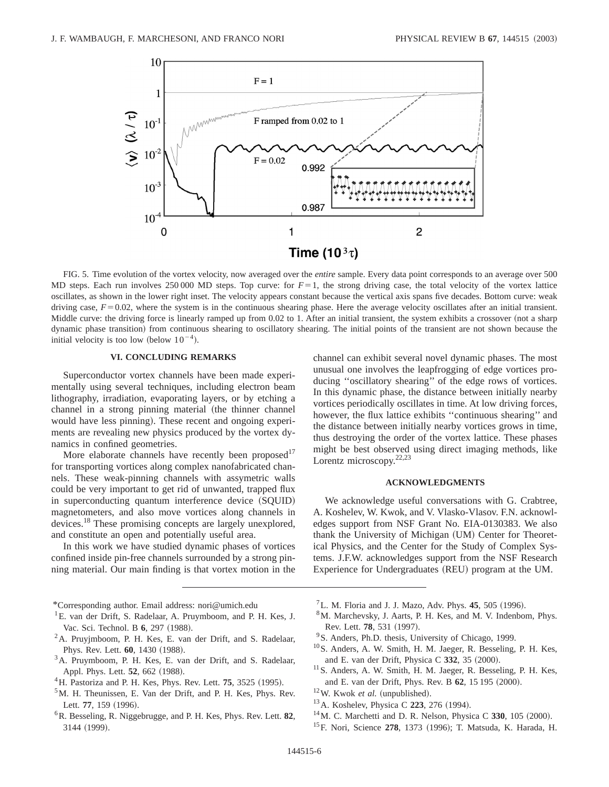

FIG. 5. Time evolution of the vortex velocity, now averaged over the *entire* sample. Every data point corresponds to an average over 500 MD steps. Each run involves 250 000 MD steps. Top curve: for  $F=1$ , the strong driving case, the total velocity of the vortex lattice oscillates, as shown in the lower right inset. The velocity appears constant because the vertical axis spans five decades. Bottom curve: weak driving case,  $F = 0.02$ , where the system is in the continuous shearing phase. Here the average velocity oscillates after an initial transient. Middle curve: the driving force is linearly ramped up from 0.02 to 1. After an initial transient, the system exhibits a crossover (not a sharp dynamic phase transition) from continuous shearing to oscillatory shearing. The initial points of the transient are not shown because the initial velocity is too low (below  $10^{-4}$ ).

# **VI. CONCLUDING REMARKS**

Superconductor vortex channels have been made experimentally using several techniques, including electron beam lithography, irradiation, evaporating layers, or by etching a channel in a strong pinning material (the thinner channel would have less pinning). These recent and ongoing experiments are revealing new physics produced by the vortex dynamics in confined geometries.

More elaborate channels have recently been proposed<sup>17</sup> for transporting vortices along complex nanofabricated channels. These weak-pinning channels with assymetric walls could be very important to get rid of unwanted, trapped flux in superconducting quantum interference device (SOUID) magnetometers, and also move vortices along channels in devices.18 These promising concepts are largely unexplored, and constitute an open and potentially useful area.

In this work we have studied dynamic phases of vortices confined inside pin-free channels surrounded by a strong pinning material. Our main finding is that vortex motion in the

\*Corresponding author. Email address: nori@umich.edu

- <sup>1</sup>E. van der Drift, S. Radelaar, A. Pruymboom, and P. H. Kes, J. Vac. Sci. Technol. B 6, 297 (1988).
- <sup>2</sup>A. Pruyjmboom, P. H. Kes, E. van der Drift, and S. Radelaar, Phys. Rev. Lett. **60**, 1430 (1988).
- <sup>3</sup>A. Pruymboom, P. H. Kes, E. van der Drift, and S. Radelaar, Appl. Phys. Lett. 52, 662 (1988).
- ${}^{4}$ H. Pastoriza and P. H. Kes, Phys. Rev. Lett. **75**, 3525 (1995).
- <sup>5</sup>M. H. Theunissen, E. Van der Drift, and P. H. Kes, Phys. Rev. Lett. 77, 159 (1996).
- 6R. Besseling, R. Niggebrugge, and P. H. Kes, Phys. Rev. Lett. **82**, 3144 (1999).

channel can exhibit several novel dynamic phases. The most unusual one involves the leapfrogging of edge vortices producing ''oscillatory shearing'' of the edge rows of vortices. In this dynamic phase, the distance between initially nearby vortices periodically oscillates in time. At low driving forces, however, the flux lattice exhibits ''continuous shearing'' and the distance between initially nearby vortices grows in time, thus destroying the order of the vortex lattice. These phases might be best observed using direct imaging methods, like Lorentz microscopy.<sup>22,23</sup>

### **ACKNOWLEDGMENTS**

We acknowledge useful conversations with G. Crabtree, A. Koshelev, W. Kwok, and V. Vlasko-Vlasov. F.N. acknowledges support from NSF Grant No. EIA-0130383. We also thank the University of Michigan (UM) Center for Theoretical Physics, and the Center for the Study of Complex Systems. J.F.W. acknowledges support from the NSF Research Experience for Undergraduates (REU) program at the UM.

- ${}^{7}$ L. M. Floria and J. J. Mazo, Adv. Phys. **45**, 505 (1996).
- 8M. Marchevsky, J. Aarts, P. H. Kes, and M. V. Indenbom, Phys. Rev. Lett. **78**, 531 (1997).
- <sup>9</sup>S. Anders, Ph.D. thesis, University of Chicago, 1999.
- <sup>10</sup>S. Anders, A. W. Smith, H. M. Jaeger, R. Besseling, P. H. Kes, and E. van der Drift, Physica C 332, 35 (2000).
- <sup>11</sup>S. Anders, A. W. Smith, H. M. Jaeger, R. Besseling, P. H. Kes, and E. van der Drift, Phys. Rev. B **62**, 15 195 (2000).
- $12$ W. Kwok *et al.* (unpublished).
- <sup>13</sup> A. Koshelev, Physica C **223**, 276 (1994).
- $14$ M. C. Marchetti and D. R. Nelson, Physica C 330, 105  $(2000)$ .
- <sup>15</sup>F. Nori, Science 278, 1373 (1996); T. Matsuda, K. Harada, H.